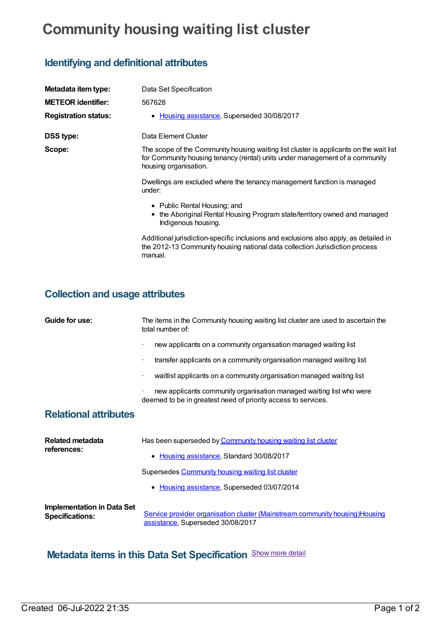## **Community housing waiting list cluster**

## **Identifying and definitional attributes**

| Metadata item type:         | Data Set Specification                                                                                                                                                                          |
|-----------------------------|-------------------------------------------------------------------------------------------------------------------------------------------------------------------------------------------------|
| <b>METEOR</b> identifier:   | 567628                                                                                                                                                                                          |
| <b>Registration status:</b> | • Housing assistance, Superseded 30/08/2017                                                                                                                                                     |
| <b>DSS type:</b>            | Data Element Cluster                                                                                                                                                                            |
| Scope:                      | The scope of the Community housing waiting list cluster is applicants on the wait list<br>for Community housing tenancy (rental) units under management of a community<br>housing organisation. |
|                             | Dwellings are excluded where the tenancy management function is managed<br>under:                                                                                                               |
|                             | • Public Rental Housing; and<br>• the Aboriginal Rental Housing Program state/territory owned and managed<br>Indigenous housing.                                                                |
|                             | Additional jurisdiction-specific inclusions and exclusions also apply, as detailed in<br>the 2012-13 Community housing national data collection Jurisdiction process<br>manual.                 |
|                             |                                                                                                                                                                                                 |

## **Collection and usage attributes**

| Guide for use:                                              | The items in the Community housing waiting list cluster are used to ascertain the<br>total number of:                                                              |  |
|-------------------------------------------------------------|--------------------------------------------------------------------------------------------------------------------------------------------------------------------|--|
|                                                             | new applicants on a community organisation managed waiting list                                                                                                    |  |
|                                                             | transfer applicants on a community organisation managed waiting list                                                                                               |  |
|                                                             | waitlist applicants on a community organisation managed waiting list<br>$\bullet$                                                                                  |  |
|                                                             | new applicants community organisation managed waiting list who were<br>deemed to be in greatest need of priority access to services.                               |  |
| <b>Relational attributes</b>                                |                                                                                                                                                                    |  |
| <b>Related metadata</b><br>references:                      | Has been superseded by Community housing waiting list cluster<br>Housing assistance, Standard 30/08/2017<br>٠<br>Supersedes Community housing waiting list cluster |  |
|                                                             | Housing assistance, Superseded 03/07/2014<br>$\bullet$                                                                                                             |  |
| <b>Implementation in Data Set</b><br><b>Specifications:</b> | Service provider organisation cluster (Mainstream community housing) Housing<br>assistance, Superseded 30/08/2017                                                  |  |

## **Metadata items in this Data Set Specification** Show more detail